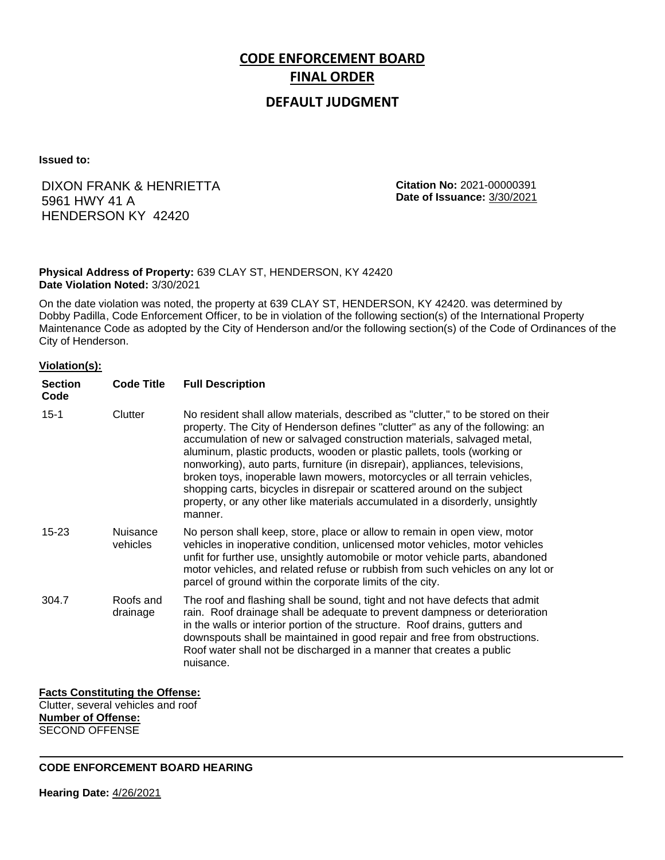# **CODE ENFORCEMENT BOARD FINAL ORDER**

## **DEFAULT JUDGMENT**

**Issued to:**

## DIXON FRANK & HENRIETTA 5961 HWY 41 A HENDERSON KY 42420

**Citation No:** 2021-00000391 **Date of Issuance:** 3/30/2021

#### **Physical Address of Property:** 639 CLAY ST, HENDERSON, KY 42420 **Date Violation Noted:** 3/30/2021

On the date violation was noted, the property at 639 CLAY ST, HENDERSON, KY 42420. was determined by Dobby Padilla, Code Enforcement Officer, to be in violation of the following section(s) of the International Property Maintenance Code as adopted by the City of Henderson and/or the following section(s) of the Code of Ordinances of the City of Henderson.

#### **Violation(s):**

| <b>Section</b><br>Code | <b>Code Title</b>           | <b>Full Description</b>                                                                                                                                                                                                                                                                                                                                                                                                                                                                                                                                                                                                                                     |
|------------------------|-----------------------------|-------------------------------------------------------------------------------------------------------------------------------------------------------------------------------------------------------------------------------------------------------------------------------------------------------------------------------------------------------------------------------------------------------------------------------------------------------------------------------------------------------------------------------------------------------------------------------------------------------------------------------------------------------------|
| $15 - 1$               | Clutter                     | No resident shall allow materials, described as "clutter," to be stored on their<br>property. The City of Henderson defines "clutter" as any of the following: an<br>accumulation of new or salvaged construction materials, salvaged metal,<br>aluminum, plastic products, wooden or plastic pallets, tools (working or<br>nonworking), auto parts, furniture (in disrepair), appliances, televisions,<br>broken toys, inoperable lawn mowers, motorcycles or all terrain vehicles,<br>shopping carts, bicycles in disrepair or scattered around on the subject<br>property, or any other like materials accumulated in a disorderly, unsightly<br>manner. |
| $15 - 23$              | <b>Nuisance</b><br>vehicles | No person shall keep, store, place or allow to remain in open view, motor<br>vehicles in inoperative condition, unlicensed motor vehicles, motor vehicles<br>unfit for further use, unsightly automobile or motor vehicle parts, abandoned<br>motor vehicles, and related refuse or rubbish from such vehicles on any lot or<br>parcel of ground within the corporate limits of the city.                                                                                                                                                                                                                                                                   |
| 304.7                  | Roofs and<br>drainage       | The roof and flashing shall be sound, tight and not have defects that admit<br>rain. Roof drainage shall be adequate to prevent dampness or deterioration<br>in the walls or interior portion of the structure. Roof drains, gutters and<br>downspouts shall be maintained in good repair and free from obstructions.<br>Roof water shall not be discharged in a manner that creates a public<br>nuisance.                                                                                                                                                                                                                                                  |

### **Facts Constituting the Offense:**

Clutter, several vehicles and roof **Number of Offense:** SECOND OFFENSE

**CODE ENFORCEMENT BOARD HEARING**

**Hearing Date:** 4/26/2021